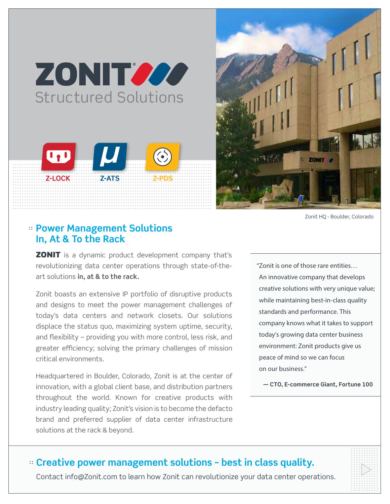# ZONIT 200 **Structured Solutions**





Zonit HQ - Boulder, Colorado

## **:: Power Management Solutions** In, At & To the Rack

**ZONIT** is a dynamic product development company that's revolutionizing data center operations through state-of-theart solutions in, at & to the rack.

Zonit boasts an extensive IP portfolio of disruptive products and designs to meet the power management challenges of today's data centers and network closets. Our solutions displace the status quo, maximizing system uptime, security, and flexibility – providing you with more control, less risk, and greater efficiency; solving the primary challenges of mission critical environments.

Headquartered in Boulder, Colorado, Zonit is at the center of innovation, with a global client base, and distribution partners throughout the world. Known for creative products with industry leading quality; Zonit's vision is to become the defacto brand and preferred supplier of data center infrastructure solutions at the rack & beyond.

"Zonit is one of those rare entities... An innovative company that develops creative solutions with very unique value; while maintaining best-in-class quality standards and performance. This company knows what it takes to support today's growing data center business environment: Zonit products give us peace of mind so we can focus on our business."

- CTO, E-commerce Giant, Fortune 100

## :: Creative power management solutions - best in class quality.

Contact info@Zonit.com to learn how Zonit can revolutionize your data center operations.